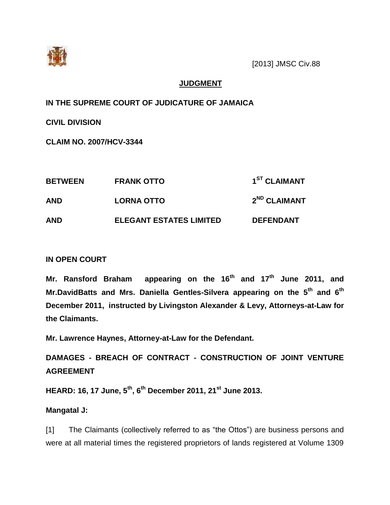

# **JUDGMENT**

**IN THE SUPREME COURT OF JUDICATURE OF JAMAICA**

**CIVIL DIVISION**

**CLAIM NO. 2007/HCV-3344**

| <b>BETWEEN</b> | <b>FRANK OTTO</b>              | 1 <sup>ST</sup> CLAIMANT |
|----------------|--------------------------------|--------------------------|
| <b>AND</b>     | <b>LORNA OTTO</b>              | 2 <sup>ND</sup> CLAIMANT |
| <b>AND</b>     | <b>ELEGANT ESTATES LIMITED</b> | <b>DEFENDANT</b>         |

# **IN OPEN COURT**

**Mr. Ransford Braham appearing on the 16th and 17th June 2011, and Mr.DavidBatts and Mrs. Daniella Gentles-Silvera appearing on the 5th and 6th December 2011, instructed by Livingston Alexander & Levy, Attorneys-at-Law for the Claimants.**

**Mr. Lawrence Haynes, Attorney-at-Law for the Defendant.**

**DAMAGES - BREACH OF CONTRACT - CONSTRUCTION OF JOINT VENTURE AGREEMENT**

**HEARD: 16, 17 June, 5th, 6th December 2011, 21st June 2013.**

# **Mangatal J:**

[1] The Claimants (collectively referred to as "the Ottos") are business persons and were at all material times the registered proprietors of lands registered at Volume 1309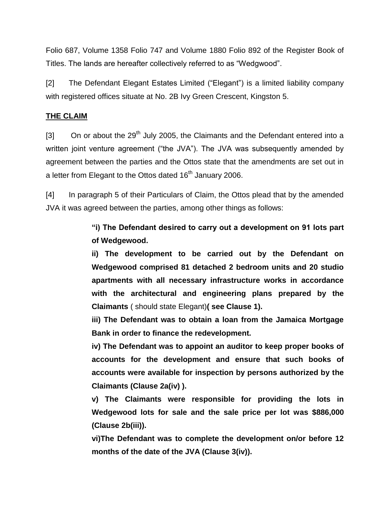Folio 687, Volume 1358 Folio 747 and Volume 1880 Folio 892 of the Register Book of Titles. The lands are hereafter collectively referred to as "Wedgwood".

[2] The Defendant Elegant Estates Limited ("Elegant") is a limited liability company with registered offices situate at No. 2B Ivy Green Crescent, Kingston 5.

## **THE CLAIM**

[3] On or about the  $29<sup>th</sup>$  July 2005, the Claimants and the Defendant entered into a written joint venture agreement ("the JVA"). The JVA was subsequently amended by agreement between the parties and the Ottos state that the amendments are set out in a letter from Elegant to the Ottos dated  $16<sup>th</sup>$  January 2006.

[4] In paragraph 5 of their Particulars of Claim, the Ottos plead that by the amended JVA it was agreed between the parties, among other things as follows:

> **"i) The Defendant desired to carry out a development on 91 lots part of Wedgewood.**

> **ii) The development to be carried out by the Defendant on Wedgewood comprised 81 detached 2 bedroom units and 20 studio apartments with all necessary infrastructure works in accordance with the architectural and engineering plans prepared by the Claimants** ( should state Elegant)**( see Clause 1).**

> **iii) The Defendant was to obtain a loan from the Jamaica Mortgage Bank in order to finance the redevelopment.**

> **iv) The Defendant was to appoint an auditor to keep proper books of accounts for the development and ensure that such books of accounts were available for inspection by persons authorized by the Claimants (Clause 2a(iv) ).**

> **v) The Claimants were responsible for providing the lots in Wedgewood lots for sale and the sale price per lot was \$886,000 (Clause 2b(iii)).**

> **vi)The Defendant was to complete the development on/or before 12 months of the date of the JVA (Clause 3(iv)).**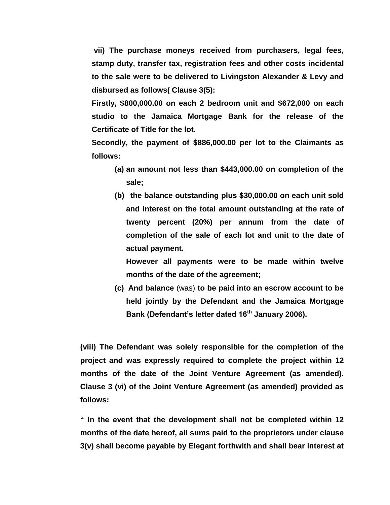**vii) The purchase moneys received from purchasers, legal fees, stamp duty, transfer tax, registration fees and other costs incidental to the sale were to be delivered to Livingston Alexander & Levy and disbursed as follows( Clause 3(5):**

**Firstly, \$800,000.00 on each 2 bedroom unit and \$672,000 on each studio to the Jamaica Mortgage Bank for the release of the Certificate of Title for the lot.**

**Secondly, the payment of \$886,000.00 per lot to the Claimants as follows:**

- **(a) an amount not less than \$443,000.00 on completion of the sale;**
- **(b) the balance outstanding plus \$30,000.00 on each unit sold and interest on the total amount outstanding at the rate of twenty percent (20%) per annum from the date of completion of the sale of each lot and unit to the date of actual payment.**

**However all payments were to be made within twelve months of the date of the agreement;**

**(c) And balance** (was) **to be paid into an escrow account to be held jointly by the Defendant and the Jamaica Mortgage Bank (Defendant's letter dated 16th January 2006).**

**(viii) The Defendant was solely responsible for the completion of the project and was expressly required to complete the project within 12 months of the date of the Joint Venture Agreement (as amended). Clause 3 (vi) of the Joint Venture Agreement (as amended) provided as follows:**

**" In the event that the development shall not be completed within 12 months of the date hereof, all sums paid to the proprietors under clause 3(v) shall become payable by Elegant forthwith and shall bear interest at**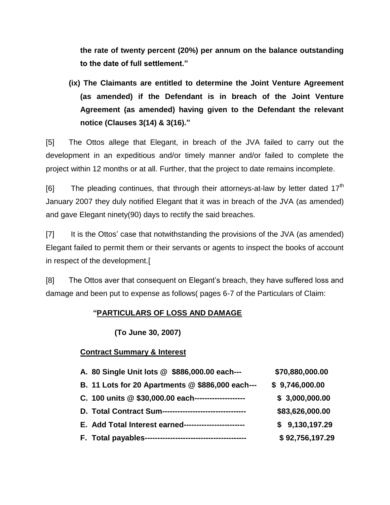**the rate of twenty percent (20%) per annum on the balance outstanding to the date of full settlement."**

**(ix) The Claimants are entitled to determine the Joint Venture Agreement (as amended) if the Defendant is in breach of the Joint Venture Agreement (as amended) having given to the Defendant the relevant notice (Clauses 3(14) & 3(16)."**

[5] The Ottos allege that Elegant, in breach of the JVA failed to carry out the development in an expeditious and/or timely manner and/or failed to complete the project within 12 months or at all. Further, that the project to date remains incomplete.

 $[6]$  The pleading continues, that through their attorneys-at-law by letter dated 17<sup>th</sup> January 2007 they duly notified Elegant that it was in breach of the JVA (as amended) and gave Elegant ninety(90) days to rectify the said breaches.

[7] It is the Ottos' case that notwithstanding the provisions of the JVA (as amended) Elegant failed to permit them or their servants or agents to inspect the books of account in respect of the development.[

[8] The Ottos aver that consequent on Elegant's breach, they have suffered loss and damage and been put to expense as follows( pages 6-7 of the Particulars of Claim:

# **"PARTICULARS OF LOSS AND DAMAGE**

**(To June 30, 2007)**

## **Contract Summary & Interest**

| A. 80 Single Unit lots @ \$886,000.00 each---          | \$70,880,000.00 |
|--------------------------------------------------------|-----------------|
| B. 11 Lots for 20 Apartments @ \$886,000 each---       | \$9,746,000.00  |
| C. 100 units @ \$30,000.00 each--------------------    | \$3,000,000.00  |
| D. Total Contract Sum--------------------------------- | \$83,626,000.00 |
| E. Add Total Interest earned------------------------   | \$9,130,197.29  |
|                                                        | \$92,756,197.29 |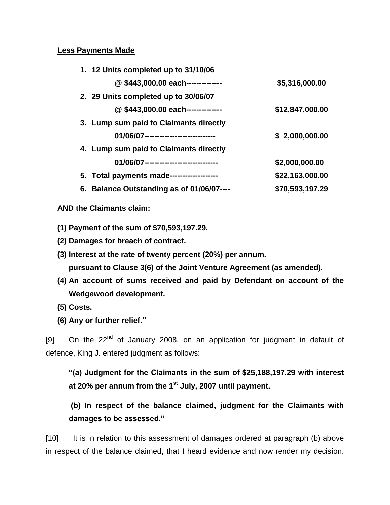### **Less Payments Made**

| 1. 12 Units completed up to 31/10/06      |                 |
|-------------------------------------------|-----------------|
| @\$443,000.00 each--------------          | \$5,316,000.00  |
| 2. 29 Units completed up to 30/06/07      |                 |
| @\$443,000.00 each--------------          | \$12,847,000.00 |
| 3. Lump sum paid to Claimants directly    |                 |
| 01/06/07-----------------------------     | \$2,000,000.00  |
| 4. Lump sum paid to Claimants directly    |                 |
| 01/06/07-----------------------------     | \$2,000,000.00  |
| 5. Total payments made------------------- | \$22,163,000.00 |
| 6. Balance Outstanding as of 01/06/07---- | \$70,593,197.29 |

## **AND the Claimants claim:**

- **(1) Payment of the sum of \$70,593,197.29.**
- **(2) Damages for breach of contract.**
- **(3) Interest at the rate of twenty percent (20%) per annum.**

**pursuant to Clause 3(6) of the Joint Venture Agreement (as amended).**

- **(4) An account of sums received and paid by Defendant on account of the Wedgewood development.**
- **(5) Costs.**
- **(6) Any or further relief."**

[9] On the 22<sup>nd</sup> of January 2008, on an application for judgment in default of defence, King J. entered judgment as follows:

**"(a) Judgment for the Claimants in the sum of \$25,188,197.29 with interest at 20% per annum from the 1st July, 2007 until payment.**

**(b) In respect of the balance claimed, judgment for the Claimants with damages to be assessed."**

[10] It is in relation to this assessment of damages ordered at paragraph (b) above in respect of the balance claimed, that I heard evidence and now render my decision.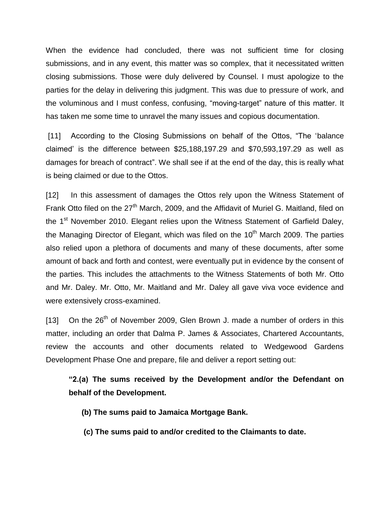When the evidence had concluded, there was not sufficient time for closing submissions, and in any event, this matter was so complex, that it necessitated written closing submissions. Those were duly delivered by Counsel. I must apologize to the parties for the delay in delivering this judgment. This was due to pressure of work, and the voluminous and I must confess, confusing, "moving-target" nature of this matter. It has taken me some time to unravel the many issues and copious documentation.

[11] According to the Closing Submissions on behalf of the Ottos, "The 'balance claimed' is the difference between \$25,188,197.29 and \$70,593,197.29 as well as damages for breach of contract". We shall see if at the end of the day, this is really what is being claimed or due to the Ottos.

[12] In this assessment of damages the Ottos rely upon the Witness Statement of Frank Otto filed on the 27<sup>th</sup> March, 2009, and the Affidavit of Muriel G. Maitland, filed on the 1<sup>st</sup> November 2010. Elegant relies upon the Witness Statement of Garfield Daley, the Managing Director of Elegant, which was filed on the  $10<sup>th</sup>$  March 2009. The parties also relied upon a plethora of documents and many of these documents, after some amount of back and forth and contest, were eventually put in evidence by the consent of the parties. This includes the attachments to the Witness Statements of both Mr. Otto and Mr. Daley. Mr. Otto, Mr. Maitland and Mr. Daley all gave viva voce evidence and were extensively cross-examined.

[13] On the  $26<sup>th</sup>$  of November 2009, Glen Brown J. made a number of orders in this matter, including an order that Dalma P. James & Associates, Chartered Accountants, review the accounts and other documents related to Wedgewood Gardens Development Phase One and prepare, file and deliver a report setting out:

**"2.(a) The sums received by the Development and/or the Defendant on behalf of the Development.**

- **(b) The sums paid to Jamaica Mortgage Bank.**
- **(c) The sums paid to and/or credited to the Claimants to date.**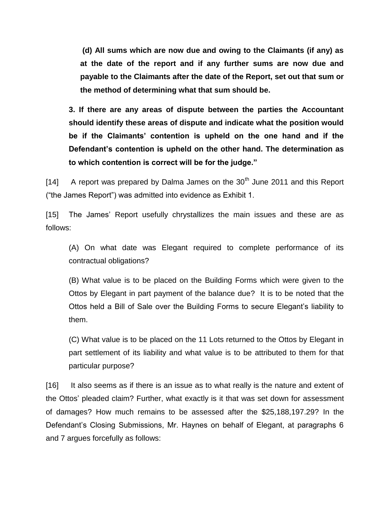**(d) All sums which are now due and owing to the Claimants (if any) as at the date of the report and if any further sums are now due and payable to the Claimants after the date of the Report, set out that sum or the method of determining what that sum should be.** 

**3. If there are any areas of dispute between the parties the Accountant should identify these areas of dispute and indicate what the position would be if the Claimants' contention is upheld on the one hand and if the Defendant's contention is upheld on the other hand. The determination as to which contention is correct will be for the judge."**

[14] A report was prepared by Dalma James on the  $30<sup>th</sup>$  June 2011 and this Report ("the James Report") was admitted into evidence as Exhibit 1.

[15] The James' Report usefully chrystallizes the main issues and these are as follows:

(A) On what date was Elegant required to complete performance of its contractual obligations?

(B) What value is to be placed on the Building Forms which were given to the Ottos by Elegant in part payment of the balance due? It is to be noted that the Ottos held a Bill of Sale over the Building Forms to secure Elegant's liability to them.

(C) What value is to be placed on the 11 Lots returned to the Ottos by Elegant in part settlement of its liability and what value is to be attributed to them for that particular purpose?

[16] It also seems as if there is an issue as to what really is the nature and extent of the Ottos' pleaded claim? Further, what exactly is it that was set down for assessment of damages? How much remains to be assessed after the \$25,188,197.29? In the Defendant's Closing Submissions, Mr. Haynes on behalf of Elegant, at paragraphs 6 and 7 argues forcefully as follows: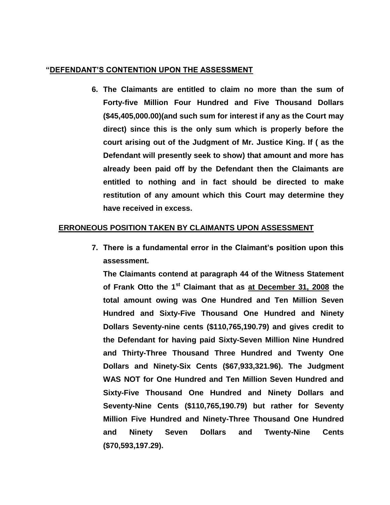### **"DEFENDANT'S CONTENTION UPON THE ASSESSMENT**

**6. The Claimants are entitled to claim no more than the sum of Forty-five Million Four Hundred and Five Thousand Dollars (\$45,405,000.00)(and such sum for interest if any as the Court may direct) since this is the only sum which is properly before the court arising out of the Judgment of Mr. Justice King. If ( as the Defendant will presently seek to show) that amount and more has already been paid off by the Defendant then the Claimants are entitled to nothing and in fact should be directed to make restitution of any amount which this Court may determine they have received in excess.**

## **ERRONEOUS POSITION TAKEN BY CLAIMANTS UPON ASSESSMENT**

**7. There is a fundamental error in the Claimant's position upon this assessment.**

**The Claimants contend at paragraph 44 of the Witness Statement of Frank Otto the 1st Claimant that as at December 31, 2008 the total amount owing was One Hundred and Ten Million Seven Hundred and Sixty-Five Thousand One Hundred and Ninety Dollars Seventy-nine cents (\$110,765,190.79) and gives credit to the Defendant for having paid Sixty-Seven Million Nine Hundred and Thirty-Three Thousand Three Hundred and Twenty One Dollars and Ninety-Six Cents (\$67,933,321.96). The Judgment WAS NOT for One Hundred and Ten Million Seven Hundred and Sixty-Five Thousand One Hundred and Ninety Dollars and Seventy-Nine Cents (\$110,765,190.79) but rather for Seventy Million Five Hundred and Ninety-Three Thousand One Hundred and Ninety Seven Dollars and Twenty-Nine Cents (\$70,593,197.29).**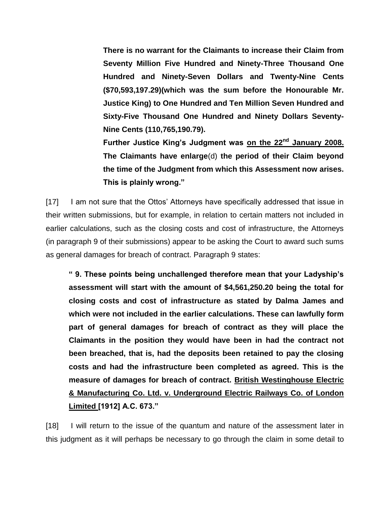**There is no warrant for the Claimants to increase their Claim from Seventy Million Five Hundred and Ninety-Three Thousand One Hundred and Ninety-Seven Dollars and Twenty-Nine Cents (\$70,593,197.29)(which was the sum before the Honourable Mr. Justice King) to One Hundred and Ten Million Seven Hundred and Sixty-Five Thousand One Hundred and Ninety Dollars Seventy-Nine Cents (110,765,190.79).**

**Further Justice King's Judgment was on the 22nd January 2008. The Claimants have enlarge**(d) **the period of their Claim beyond the time of the Judgment from which this Assessment now arises. This is plainly wrong."**

[17] I am not sure that the Ottos' Attorneys have specifically addressed that issue in their written submissions, but for example, in relation to certain matters not included in earlier calculations, such as the closing costs and cost of infrastructure, the Attorneys (in paragraph 9 of their submissions) appear to be asking the Court to award such sums as general damages for breach of contract. Paragraph 9 states:

**" 9. These points being unchallenged therefore mean that your Ladyship's assessment will start with the amount of \$4,561,250.20 being the total for closing costs and cost of infrastructure as stated by Dalma James and which were not included in the earlier calculations. These can lawfully form part of general damages for breach of contract as they will place the Claimants in the position they would have been in had the contract not been breached, that is, had the deposits been retained to pay the closing costs and had the infrastructure been completed as agreed. This is the measure of damages for breach of contract. British Westinghouse Electric & Manufacturing Co. Ltd. v. Underground Electric Railways Co. of London Limited [1912] A.C. 673."**

[18] I will return to the issue of the quantum and nature of the assessment later in this judgment as it will perhaps be necessary to go through the claim in some detail to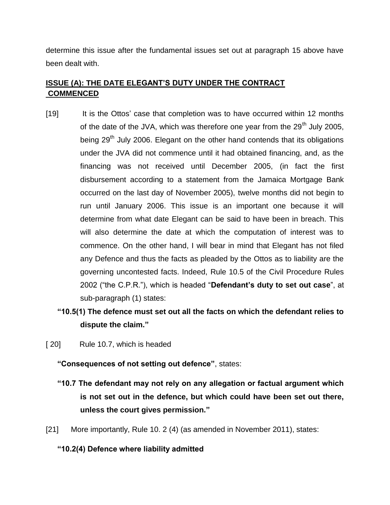determine this issue after the fundamental issues set out at paragraph 15 above have been dealt with.

# **ISSUE (A): THE DATE ELEGANT'S DUTY UNDER THE CONTRACT COMMENCED**

- [19] It is the Ottos' case that completion was to have occurred within 12 months of the date of the JVA, which was therefore one year from the  $29<sup>th</sup>$  July 2005, being  $29<sup>th</sup>$  July 2006. Elegant on the other hand contends that its obligations under the JVA did not commence until it had obtained financing, and, as the financing was not received until December 2005, (in fact the first disbursement according to a statement from the Jamaica Mortgage Bank occurred on the last day of November 2005), twelve months did not begin to run until January 2006. This issue is an important one because it will determine from what date Elegant can be said to have been in breach. This will also determine the date at which the computation of interest was to commence. On the other hand, I will bear in mind that Elegant has not filed any Defence and thus the facts as pleaded by the Ottos as to liability are the governing uncontested facts. Indeed, Rule 10.5 of the Civil Procedure Rules 2002 ("the C.P.R."), which is headed "**Defendant's duty to set out case**", at sub-paragraph (1) states:
	- **"10.5(1) The defence must set out all the facts on which the defendant relies to dispute the claim."**
- [20] Rule 10.7, which is headed

**"Consequences of not setting out defence"**, states:

- **"10.7 The defendant may not rely on any allegation or factual argument which is not set out in the defence, but which could have been set out there, unless the court gives permission."**
- [21] More importantly, Rule 10. 2 (4) (as amended in November 2011), states:

### **"10.2(4) Defence where liability admitted**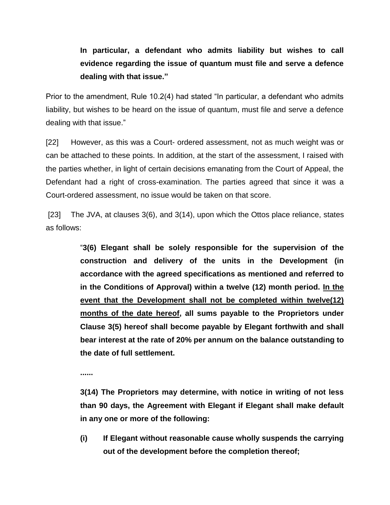# **In particular, a defendant who admits liability but wishes to call evidence regarding the issue of quantum must file and serve a defence dealing with that issue."**

Prior to the amendment, Rule 10.2(4) had stated "In particular, a defendant who admits liability, but wishes to be heard on the issue of quantum, must file and serve a defence dealing with that issue."

[22] However, as this was a Court- ordered assessment, not as much weight was or can be attached to these points. In addition, at the start of the assessment, I raised with the parties whether, in light of certain decisions emanating from the Court of Appeal, the Defendant had a right of cross-examination. The parties agreed that since it was a Court-ordered assessment, no issue would be taken on that score.

[23] The JVA, at clauses 3(6), and 3(14), upon which the Ottos place reliance, states as follows:

> "**3(6) Elegant shall be solely responsible for the supervision of the construction and delivery of the units in the Development (in accordance with the agreed specifications as mentioned and referred to in the Conditions of Approval) within a twelve (12) month period. In the event that the Development shall not be completed within twelve(12) months of the date hereof, all sums payable to the Proprietors under Clause 3(5) hereof shall become payable by Elegant forthwith and shall bear interest at the rate of 20% per annum on the balance outstanding to the date of full settlement.**

**......**

**3(14) The Proprietors may determine, with notice in writing of not less than 90 days, the Agreement with Elegant if Elegant shall make default in any one or more of the following:**

**(i) If Elegant without reasonable cause wholly suspends the carrying out of the development before the completion thereof;**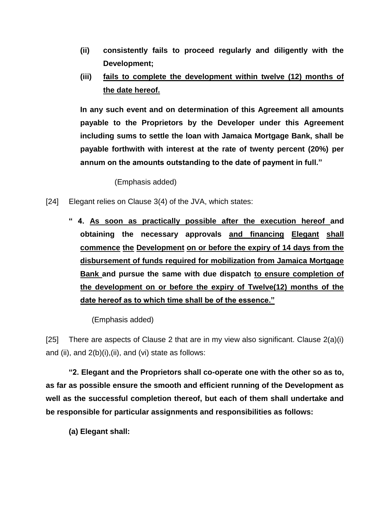- **(ii) consistently fails to proceed regularly and diligently with the Development;**
- **(iii) fails to complete the development within twelve (12) months of the date hereof.**

**In any such event and on determination of this Agreement all amounts payable to the Proprietors by the Developer under this Agreement including sums to settle the loan with Jamaica Mortgage Bank, shall be payable forthwith with interest at the rate of twenty percent (20%) per annum on the amounts outstanding to the date of payment in full."**

(Emphasis added)

- [24] Elegant relies on Clause 3(4) of the JVA, which states:
	- **" 4. As soon as practically possible after the execution hereof and obtaining the necessary approvals and financing Elegant shall commence the Development on or before the expiry of 14 days from the disbursement of funds required for mobilization from Jamaica Mortgage Bank and pursue the same with due dispatch to ensure completion of the development on or before the expiry of Twelve(12) months of the date hereof as to which time shall be of the essence."**

(Emphasis added)

[25] There are aspects of Clause 2 that are in my view also significant. Clause 2(a)(i) and (ii), and  $2(b)(i)$ , (ii), and (vi) state as follows:

**"2. Elegant and the Proprietors shall co-operate one with the other so as to, as far as possible ensure the smooth and efficient running of the Development as well as the successful completion thereof, but each of them shall undertake and be responsible for particular assignments and responsibilities as follows:**

**(a) Elegant shall:**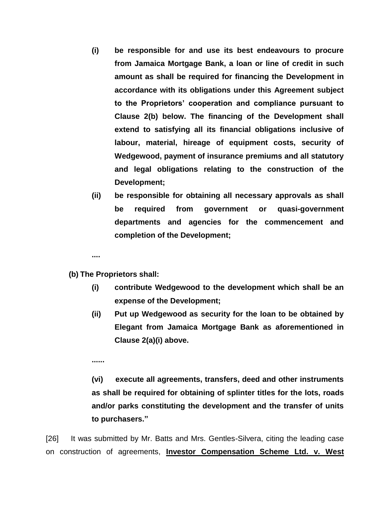- **(i) be responsible for and use its best endeavours to procure from Jamaica Mortgage Bank, a loan or line of credit in such amount as shall be required for financing the Development in accordance with its obligations under this Agreement subject to the Proprietors' cooperation and compliance pursuant to Clause 2(b) below. The financing of the Development shall extend to satisfying all its financial obligations inclusive of labour, material, hireage of equipment costs, security of Wedgewood, payment of insurance premiums and all statutory and legal obligations relating to the construction of the Development;**
- **(ii) be responsible for obtaining all necessary approvals as shall be required from government or quasi-government departments and agencies for the commencement and completion of the Development;**

**....**

**(b) The Proprietors shall:**

- **(i) contribute Wedgewood to the development which shall be an expense of the Development;**
- **(ii) Put up Wedgewood as security for the loan to be obtained by Elegant from Jamaica Mortgage Bank as aforementioned in Clause 2(a)(i) above.**

**......**

**(vi) execute all agreements, transfers, deed and other instruments as shall be required for obtaining of splinter titles for the lots, roads and/or parks constituting the development and the transfer of units to purchasers."**

[26] It was submitted by Mr. Batts and Mrs. Gentles-Silvera, citing the leading case on construction of agreements, **Investor Compensation Scheme Ltd. v. West**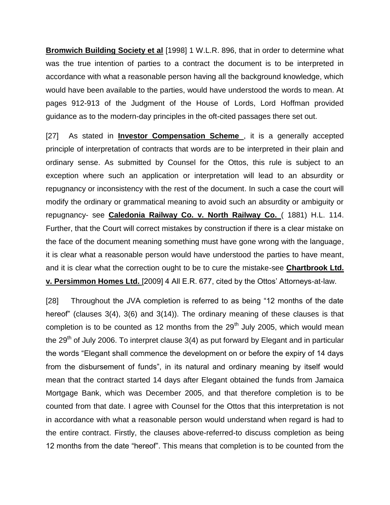**Bromwich Building Society et al** [1998] 1 W.L.R. 896, that in order to determine what was the true intention of parties to a contract the document is to be interpreted in accordance with what a reasonable person having all the background knowledge, which would have been available to the parties, would have understood the words to mean. At pages 912-913 of the Judgment of the House of Lords, Lord Hoffman provided guidance as to the modern-day principles in the oft-cited passages there set out.

[27] As stated in **Investor Compensation Scheme** , it is a generally accepted principle of interpretation of contracts that words are to be interpreted in their plain and ordinary sense. As submitted by Counsel for the Ottos, this rule is subject to an exception where such an application or interpretation will lead to an absurdity or repugnancy or inconsistency with the rest of the document. In such a case the court will modify the ordinary or grammatical meaning to avoid such an absurdity or ambiguity or repugnancy- see **Caledonia Railway Co. v. North Railway Co.** ( 1881) H.L. 114. Further, that the Court will correct mistakes by construction if there is a clear mistake on the face of the document meaning something must have gone wrong with the language, it is clear what a reasonable person would have understood the parties to have meant, and it is clear what the correction ought to be to cure the mistake-see **Chartbrook Ltd. v. Persimmon Homes Ltd.** [2009] 4 All E.R. 677, cited by the Ottos' Attorneys-at-law.

[28] Throughout the JVA completion is referred to as being "12 months of the date hereof" (clauses 3(4), 3(6) and 3(14)). The ordinary meaning of these clauses is that completion is to be counted as 12 months from the  $29<sup>th</sup>$  July 2005, which would mean the 29<sup>th</sup> of July 2006. To interpret clause  $3(4)$  as put forward by Elegant and in particular the words "Elegant shall commence the development on or before the expiry of 14 days from the disbursement of funds", in its natural and ordinary meaning by itself would mean that the contract started 14 days after Elegant obtained the funds from Jamaica Mortgage Bank, which was December 2005, and that therefore completion is to be counted from that date. I agree with Counsel for the Ottos that this interpretation is not in accordance with what a reasonable person would understand when regard is had to the entire contract. Firstly, the clauses above-referred-to discuss completion as being 12 months from the date "hereof". This means that completion is to be counted from the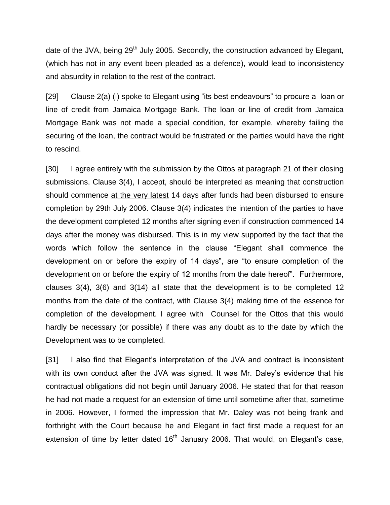date of the JVA, being  $29<sup>th</sup>$  July 2005. Secondly, the construction advanced by Elegant, (which has not in any event been pleaded as a defence), would lead to inconsistency and absurdity in relation to the rest of the contract.

[29] Clause 2(a) (i) spoke to Elegant using "its best endeavours" to procure a loan or line of credit from Jamaica Mortgage Bank. The loan or line of credit from Jamaica Mortgage Bank was not made a special condition, for example, whereby failing the securing of the loan, the contract would be frustrated or the parties would have the right to rescind.

[30] I agree entirely with the submission by the Ottos at paragraph 21 of their closing submissions. Clause 3(4), I accept, should be interpreted as meaning that construction should commence at the very latest 14 days after funds had been disbursed to ensure completion by 29th July 2006. Clause 3(4) indicates the intention of the parties to have the development completed 12 months after signing even if construction commenced 14 days after the money was disbursed. This is in my view supported by the fact that the words which follow the sentence in the clause "Elegant shall commence the development on or before the expiry of 14 days", are "to ensure completion of the development on or before the expiry of 12 months from the date hereof". Furthermore, clauses 3(4), 3(6) and 3(14) all state that the development is to be completed 12 months from the date of the contract, with Clause 3(4) making time of the essence for completion of the development. I agree with Counsel for the Ottos that this would hardly be necessary (or possible) if there was any doubt as to the date by which the Development was to be completed.

[31] I also find that Elegant's interpretation of the JVA and contract is inconsistent with its own conduct after the JVA was signed. It was Mr. Daley's evidence that his contractual obligations did not begin until January 2006. He stated that for that reason he had not made a request for an extension of time until sometime after that, sometime in 2006. However, I formed the impression that Mr. Daley was not being frank and forthright with the Court because he and Elegant in fact first made a request for an extension of time by letter dated  $16<sup>th</sup>$  January 2006. That would, on Elegant's case,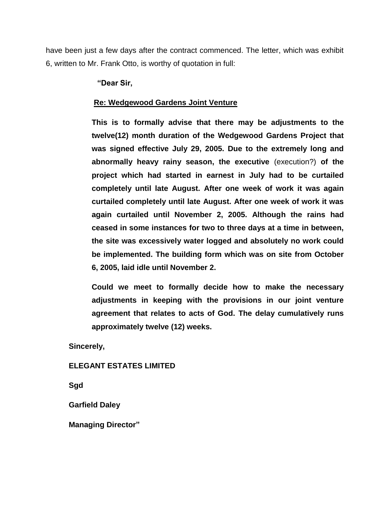have been just a few days after the contract commenced. The letter, which was exhibit 6, written to Mr. Frank Otto, is worthy of quotation in full:

**"Dear Sir,**

### **Re: Wedgewood Gardens Joint Venture**

**This is to formally advise that there may be adjustments to the twelve(12) month duration of the Wedgewood Gardens Project that was signed effective July 29, 2005. Due to the extremely long and abnormally heavy rainy season, the executive** (execution?) **of the project which had started in earnest in July had to be curtailed completely until late August. After one week of work it was again curtailed completely until late August. After one week of work it was again curtailed until November 2, 2005. Although the rains had ceased in some instances for two to three days at a time in between, the site was excessively water logged and absolutely no work could be implemented. The building form which was on site from October 6, 2005, laid idle until November 2.**

**Could we meet to formally decide how to make the necessary adjustments in keeping with the provisions in our joint venture agreement that relates to acts of God. The delay cumulatively runs approximately twelve (12) weeks.**

**Sincerely,**

### **ELEGANT ESTATES LIMITED**

**Sgd**

**Garfield Daley**

**Managing Director"**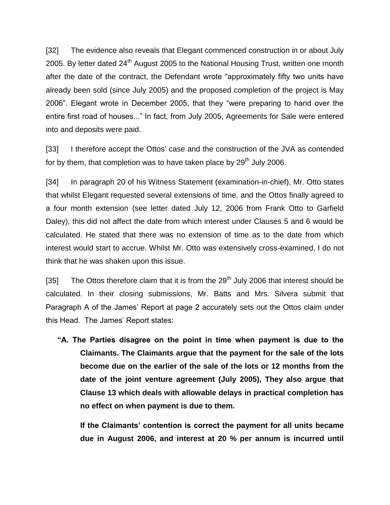[32] The evidence also reveals that Elegant commenced construction in or about July 2005. By letter dated  $24<sup>th</sup>$  August 2005 to the National Housing Trust, written one month after the date of the contract, the Defendant wrote "approximately fifty two units have already been sold (since July 2005) and the proposed completion of the project is May 2006". Elegant wrote in December 2005, that they "were preparing to hand over the entire first road of houses..." In fact, from July 2005, Agreements for Sale were entered into and deposits were paid.

[33] I therefore accept the Ottos' case and the construction of the JVA as contended for by them, that completion was to have taken place by  $29<sup>th</sup>$  July 2006.

[34] In paragraph 20 of his Witness Statement (examination-in-chief), Mr. Otto states that whilst Elegant requested several extensions of time, and the Ottos finally agreed to a four month extension (see letter dated July 12, 2006 from Frank Otto to Garfield Daley), this did not affect the date from which interest under Clauses 5 and 6 would be calculated. He stated that there was no extension of time as to the date from which interest would start to accrue. Whilst Mr. Otto was extensively cross-examined, I do not think that he was shaken upon this issue.

[35] The Ottos therefore claim that it is from the  $29<sup>th</sup>$  July 2006 that interest should be calculated. In their closing submissions, Mr. Batts and Mrs. Silvera submit that Paragraph A of the James' Report at page 2 accurately sets out the Ottos claim under this Head. The James' Report states:

**"A. The Parties disagree on the point in time when payment is due to the Claimants. The Claimants argue that the payment for the sale of the lots become due on the earlier of the sale of the lots or 12 months from the date of the joint venture agreement (July 2005), They also argue that Clause 13 which deals with allowable delays in practical completion has no effect on when payment is due to them.**

**If the Claimants' contention is correct the payment for all units became due in August 2006, and interest at 20 % per annum is incurred until**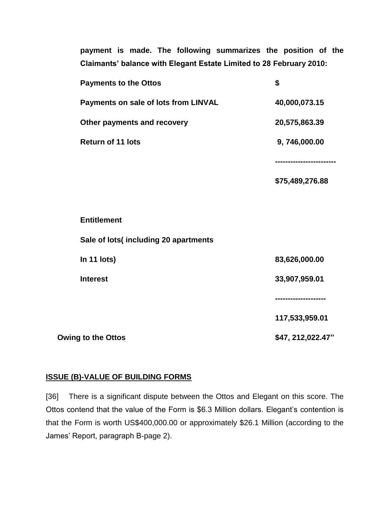**payment is made. The following summarizes the position of the Claimants' balance with Elegant Estate Limited to 28 February 2010:**

|                           | <b>Payments to the Ottos</b>         | \$                   |
|---------------------------|--------------------------------------|----------------------|
|                           | Payments on sale of lots from LINVAL | 40,000,073.15        |
|                           | Other payments and recovery          | 20,575,863.39        |
|                           | <b>Return of 11 lots</b>             | 9,746,000.00         |
|                           |                                      | -------------------- |
|                           |                                      | \$75,489,276.88      |
|                           |                                      |                      |
|                           | <b>Entitlement</b>                   |                      |
|                           | Sale of lots(including 20 apartments |                      |
|                           | In 11 lots)                          | 83,626,000.00        |
|                           | <b>Interest</b>                      | 33,907,959.01        |
|                           |                                      |                      |
|                           |                                      | 117,533,959.01       |
| <b>Owing to the Ottos</b> |                                      | \$47, 212, 022.47"   |

## **ISSUE (B)-VALUE OF BUILDING FORMS**

[36] There is a significant dispute between the Ottos and Elegant on this score. The Ottos contend that the value of the Form is \$6.3 Million dollars. Elegant's contention is that the Form is worth US\$400,000.00 or approximately \$26.1 Million (according to the James' Report, paragraph B-page 2).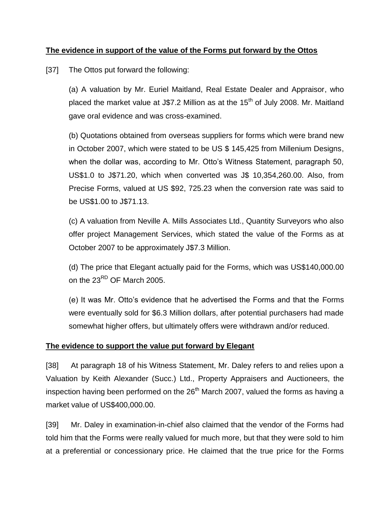## **The evidence in support of the value of the Forms put forward by the Ottos**

[37] The Ottos put forward the following:

(a) A valuation by Mr. Euriel Maitland, Real Estate Dealer and Appraisor, who placed the market value at J\$7.2 Million as at the  $15<sup>th</sup>$  of July 2008. Mr. Maitland gave oral evidence and was cross-examined.

(b) Quotations obtained from overseas suppliers for forms which were brand new in October 2007, which were stated to be US \$ 145,425 from Millenium Designs, when the dollar was, according to Mr. Otto's Witness Statement, paragraph 50, US\$1.0 to J\$71.20, which when converted was J\$ 10,354,260.00. Also, from Precise Forms, valued at US \$92, 725.23 when the conversion rate was said to be US\$1.00 to J\$71.13.

(c) A valuation from Neville A. Mills Associates Ltd., Quantity Surveyors who also offer project Management Services, which stated the value of the Forms as at October 2007 to be approximately J\$7.3 Million.

(d) The price that Elegant actually paid for the Forms, which was US\$140,000.00 on the 23<sup>RD</sup> OF March 2005.

(e) It was Mr. Otto's evidence that he advertised the Forms and that the Forms were eventually sold for \$6.3 Million dollars, after potential purchasers had made somewhat higher offers, but ultimately offers were withdrawn and/or reduced.

### **The evidence to support the value put forward by Elegant**

[38] At paragraph 18 of his Witness Statement, Mr. Daley refers to and relies upon a Valuation by Keith Alexander (Succ.) Ltd., Property Appraisers and Auctioneers, the inspection having been performed on the  $26<sup>th</sup>$  March 2007, valued the forms as having a market value of US\$400,000.00.

[39] Mr. Daley in examination-in-chief also claimed that the vendor of the Forms had told him that the Forms were really valued for much more, but that they were sold to him at a preferential or concessionary price. He claimed that the true price for the Forms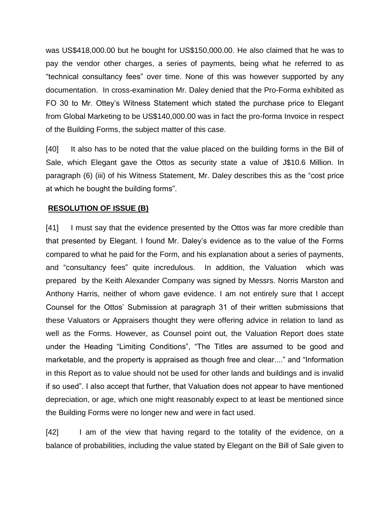was US\$418,000.00 but he bought for US\$150,000.00. He also claimed that he was to pay the vendor other charges, a series of payments, being what he referred to as "technical consultancy fees" over time. None of this was however supported by any documentation. In cross-examination Mr. Daley denied that the Pro-Forma exhibited as FO 30 to Mr. Ottey's Witness Statement which stated the purchase price to Elegant from Global Marketing to be US\$140,000.00 was in fact the pro-forma Invoice in respect of the Building Forms, the subject matter of this case.

[40] It also has to be noted that the value placed on the building forms in the Bill of Sale, which Elegant gave the Ottos as security state a value of J\$10.6 Million. In paragraph (6) (iii) of his Witness Statement, Mr. Daley describes this as the "cost price at which he bought the building forms".

## **RESOLUTION OF ISSUE (B)**

[41] I must say that the evidence presented by the Ottos was far more credible than that presented by Elegant. I found Mr. Daley's evidence as to the value of the Forms compared to what he paid for the Form, and his explanation about a series of payments, and "consultancy fees" quite incredulous. In addition, the Valuation which was prepared by the Keith Alexander Company was signed by Messrs. Norris Marston and Anthony Harris, neither of whom gave evidence. I am not entirely sure that I accept Counsel for the Ottos' Submission at paragraph 31 of their written submissions that these Valuators or Appraisers thought they were offering advice in relation to land as well as the Forms. However, as Counsel point out, the Valuation Report does state under the Heading "Limiting Conditions", "The Titles are assumed to be good and marketable, and the property is appraised as though free and clear...." and "Information in this Report as to value should not be used for other lands and buildings and is invalid if so used". I also accept that further, that Valuation does not appear to have mentioned depreciation, or age, which one might reasonably expect to at least be mentioned since the Building Forms were no longer new and were in fact used.

[42] I am of the view that having regard to the totality of the evidence, on a balance of probabilities, including the value stated by Elegant on the Bill of Sale given to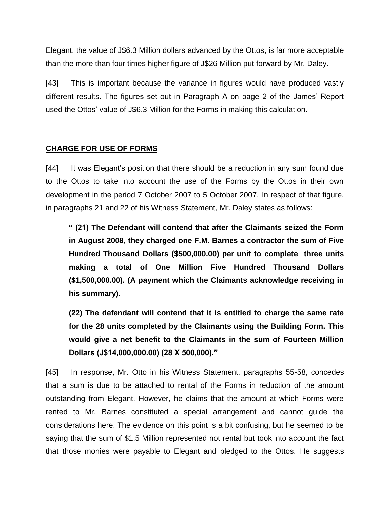Elegant, the value of J\$6.3 Million dollars advanced by the Ottos, is far more acceptable than the more than four times higher figure of J\$26 Million put forward by Mr. Daley.

[43] This is important because the variance in figures would have produced vastly different results. The figures set out in Paragraph A on page 2 of the James' Report used the Ottos' value of J\$6.3 Million for the Forms in making this calculation.

### **CHARGE FOR USE OF FORMS**

[44] It was Elegant's position that there should be a reduction in any sum found due to the Ottos to take into account the use of the Forms by the Ottos in their own development in the period 7 October 2007 to 5 October 2007. In respect of that figure, in paragraphs 21 and 22 of his Witness Statement, Mr. Daley states as follows:

**" (21) The Defendant will contend that after the Claimants seized the Form in August 2008, they charged one F.M. Barnes a contractor the sum of Five Hundred Thousand Dollars (\$500,000.00) per unit to complete three units making a total of One Million Five Hundred Thousand Dollars (\$1,500,000.00). (A payment which the Claimants acknowledge receiving in his summary).** 

**(22) The defendant will contend that it is entitled to charge the same rate for the 28 units completed by the Claimants using the Building Form. This would give a net benefit to the Claimants in the sum of Fourteen Million Dollars (J\$14,000,000.00) (28 X 500,000)."**

[45] In response, Mr. Otto in his Witness Statement, paragraphs 55-58, concedes that a sum is due to be attached to rental of the Forms in reduction of the amount outstanding from Elegant. However, he claims that the amount at which Forms were rented to Mr. Barnes constituted a special arrangement and cannot guide the considerations here. The evidence on this point is a bit confusing, but he seemed to be saying that the sum of \$1.5 Million represented not rental but took into account the fact that those monies were payable to Elegant and pledged to the Ottos. He suggests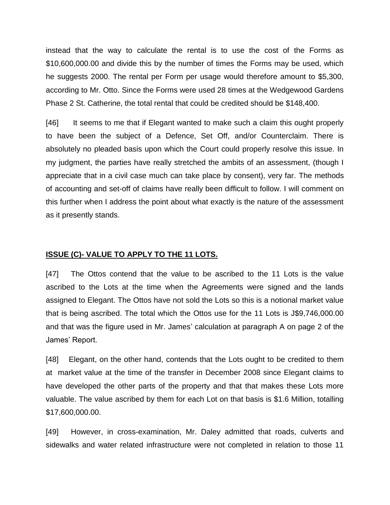instead that the way to calculate the rental is to use the cost of the Forms as \$10,600,000.00 and divide this by the number of times the Forms may be used, which he suggests 2000. The rental per Form per usage would therefore amount to \$5,300, according to Mr. Otto. Since the Forms were used 28 times at the Wedgewood Gardens Phase 2 St. Catherine, the total rental that could be credited should be \$148,400.

[46] It seems to me that if Elegant wanted to make such a claim this ought properly to have been the subject of a Defence, Set Off, and/or Counterclaim. There is absolutely no pleaded basis upon which the Court could properly resolve this issue. In my judgment, the parties have really stretched the ambits of an assessment, (though I appreciate that in a civil case much can take place by consent), very far. The methods of accounting and set-off of claims have really been difficult to follow. I will comment on this further when I address the point about what exactly is the nature of the assessment as it presently stands.

#### **ISSUE (C)- VALUE TO APPLY TO THE 11 LOTS.**

[47] The Ottos contend that the value to be ascribed to the 11 Lots is the value ascribed to the Lots at the time when the Agreements were signed and the lands assigned to Elegant. The Ottos have not sold the Lots so this is a notional market value that is being ascribed. The total which the Ottos use for the 11 Lots is J\$9,746,000.00 and that was the figure used in Mr. James' calculation at paragraph A on page 2 of the James' Report.

[48] Elegant, on the other hand, contends that the Lots ought to be credited to them at market value at the time of the transfer in December 2008 since Elegant claims to have developed the other parts of the property and that that makes these Lots more valuable. The value ascribed by them for each Lot on that basis is \$1.6 Million, totalling \$17,600,000.00.

[49] However, in cross-examination, Mr. Daley admitted that roads, culverts and sidewalks and water related infrastructure were not completed in relation to those 11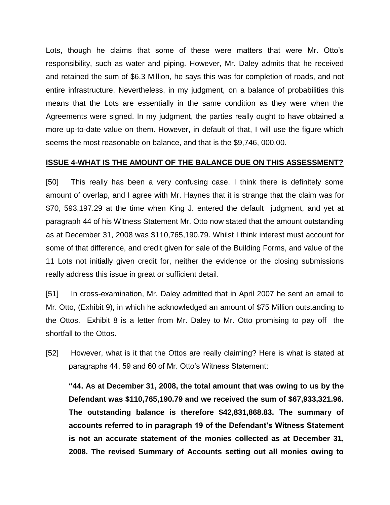Lots, though he claims that some of these were matters that were Mr. Otto's responsibility, such as water and piping. However, Mr. Daley admits that he received and retained the sum of \$6.3 Million, he says this was for completion of roads, and not entire infrastructure. Nevertheless, in my judgment, on a balance of probabilities this means that the Lots are essentially in the same condition as they were when the Agreements were signed. In my judgment, the parties really ought to have obtained a more up-to-date value on them. However, in default of that, I will use the figure which seems the most reasonable on balance, and that is the \$9,746, 000.00.

#### **ISSUE 4-WHAT IS THE AMOUNT OF THE BALANCE DUE ON THIS ASSESSMENT?**

[50] This really has been a very confusing case. I think there is definitely some amount of overlap, and I agree with Mr. Haynes that it is strange that the claim was for \$70, 593,197.29 at the time when King J. entered the default judgment, and yet at paragraph 44 of his Witness Statement Mr. Otto now stated that the amount outstanding as at December 31, 2008 was \$110,765,190.79. Whilst I think interest must account for some of that difference, and credit given for sale of the Building Forms, and value of the 11 Lots not initially given credit for, neither the evidence or the closing submissions really address this issue in great or sufficient detail.

[51] In cross-examination, Mr. Daley admitted that in April 2007 he sent an email to Mr. Otto, (Exhibit 9), in which he acknowledged an amount of \$75 Million outstanding to the Ottos. Exhibit 8 is a letter from Mr. Daley to Mr. Otto promising to pay off the shortfall to the Ottos.

[52] However, what is it that the Ottos are really claiming? Here is what is stated at paragraphs 44, 59 and 60 of Mr. Otto's Witness Statement:

**"44. As at December 31, 2008, the total amount that was owing to us by the Defendant was \$110,765,190.79 and we received the sum of \$67,933,321.96. The outstanding balance is therefore \$42,831,868.83. The summary of accounts referred to in paragraph 19 of the Defendant's Witness Statement is not an accurate statement of the monies collected as at December 31, 2008. The revised Summary of Accounts setting out all monies owing to**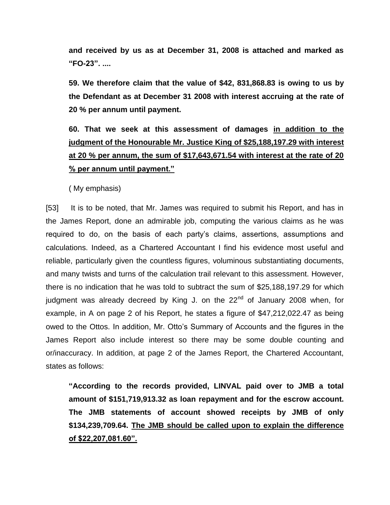**and received by us as at December 31, 2008 is attached and marked as "FO-23". ....**

**59. We therefore claim that the value of \$42, 831,868.83 is owing to us by the Defendant as at December 31 2008 with interest accruing at the rate of 20 % per annum until payment.**

# **60. That we seek at this assessment of damages in addition to the judgment of the Honourable Mr. Justice King of \$25,188,197.29 with interest at 20 % per annum, the sum of \$17,643,671.54 with interest at the rate of 20 % per annum until payment."**

( My emphasis)

[53] It is to be noted, that Mr. James was required to submit his Report, and has in the James Report, done an admirable job, computing the various claims as he was required to do, on the basis of each party's claims, assertions, assumptions and calculations. Indeed, as a Chartered Accountant I find his evidence most useful and reliable, particularly given the countless figures, voluminous substantiating documents, and many twists and turns of the calculation trail relevant to this assessment. However, there is no indication that he was told to subtract the sum of \$25,188,197.29 for which judgment was already decreed by King J. on the  $22<sup>nd</sup>$  of January 2008 when, for example, in A on page 2 of his Report, he states a figure of \$47,212,022.47 as being owed to the Ottos. In addition, Mr. Otto's Summary of Accounts and the figures in the James Report also include interest so there may be some double counting and or/inaccuracy. In addition, at page 2 of the James Report, the Chartered Accountant, states as follows:

**"According to the records provided, LINVAL paid over to JMB a total amount of \$151,719,913.32 as loan repayment and for the escrow account. The JMB statements of account showed receipts by JMB of only \$134,239,709.64. The JMB should be called upon to explain the difference of \$22,207,081.60".**